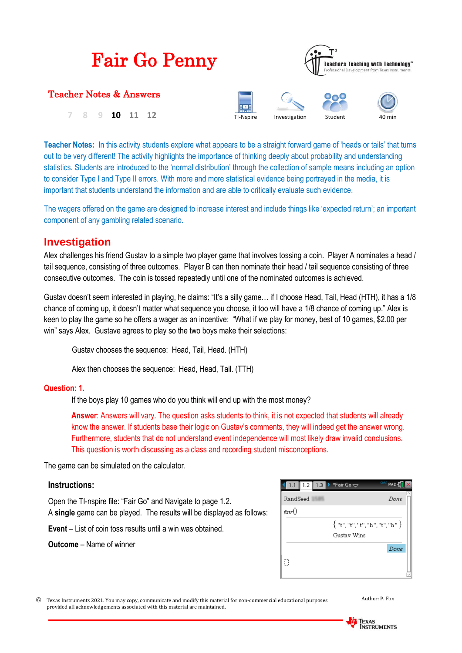| <b>Fair Go Penny</b>    | <b>Teachers Teaching with Technology</b> "<br>Professional Development from Texas Instruments |               |         |        |  |
|-------------------------|-----------------------------------------------------------------------------------------------|---------------|---------|--------|--|
| Teacher Notes & Answers |                                                                                               |               |         |        |  |
| 10                      | TI-Nspire                                                                                     | Investigation | Student | 40 min |  |

**Teacher Notes:** In this activity students explore what appears to be a straight forward game of 'heads or tails' that turns out to be very different! The activity highlights the importance of thinking deeply about probability and understanding statistics. Students are introduced to the 'normal distribution' through the collection of sample means including an option to consider Type I and Type II errors. With more and more statistical evidence being portrayed in the media, it is important that students understand the information and are able to critically evaluate such evidence.

The wagers offered on the game are designed to increase interest and include things like 'expected return'; an important component of any gambling related scenario.

## **Investigation**

Alex challenges his friend Gustav to a simple two player game that involves tossing a coin. Player A nominates a head / tail sequence, consisting of three outcomes. Player B can then nominate their head / tail sequence consisting of three consecutive outcomes. The coin is tossed repeatedly until one of the nominated outcomes is achieved.

Gustav doesn't seem interested in playing, he claims: "It's a silly game… if I choose Head, Tail, Head (HTH), it has a 1/8 chance of coming up, it doesn't matter what sequence you choose, it too will have a 1/8 chance of coming up." Alex is keen to play the game so he offers a wager as an incentive: "What if we play for money, best of 10 games, \$2.00 per win" says Alex. Gustave agrees to play so the two boys make their selections:

Gustav chooses the sequence: Head, Tail, Head. (HTH)

Alex then chooses the sequence: Head, Head, Tail. (TTH)

## **Question: 1.**

If the boys play 10 games who do you think will end up with the most money?

**Answer**: Answers will vary. The question asks students to think, it is not expected that students will already know the answer. If students base their logic on Gustav's comments, they will indeed get the answer wrong. Furthermore, students that do not understand event independence will most likely draw invalid conclusions. This question is worth discussing as a class and recording student misconceptions.

The game can be simulated on the calculator.

## **Instructions:**

Open the TI-nspire file: "Fair Go" and Navigate to page 1.2. A **single** game can be played. The results will be displayed as follows:

**Event** – List of coin toss results until a win was obtained.

**Outcome** – Name of winner

|          | 1.2 $\parallel$ 1.3 $\parallel$ * Fair Go $\sim$        | CAPS RAD |
|----------|---------------------------------------------------------|----------|
| RandSeed |                                                         | Done     |
| fair()   |                                                         |          |
|          | $\{{\sf "t",\sf "t",\sf "t",\sf "h",\sf "t",\sf "h"}\}$ |          |
|          | Gustav Wins                                             |          |
|          |                                                         | Done     |
| П        |                                                         |          |
|          |                                                         |          |

 Texas Instruments 2021. You may copy, communicate and modify this material for non-commercial educational purposes provided all acknowledgements associated with this material are maintained.

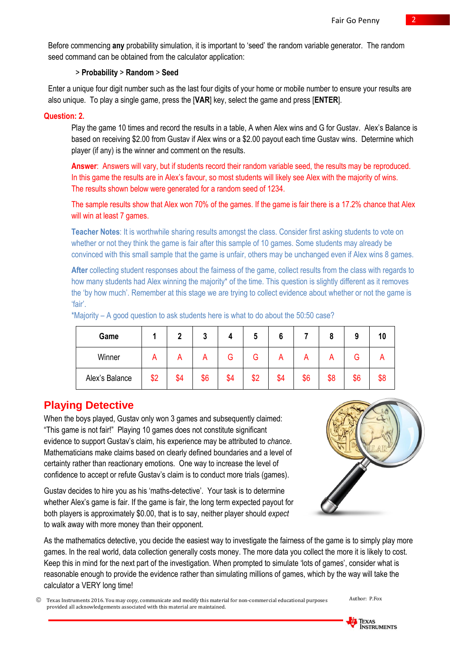Before commencing **any** probability simulation, it is important to 'seed' the random variable generator. The random seed command can be obtained from the calculator application:

## > **Probability** > **Random** > **Seed**

Enter a unique four digit number such as the last four digits of your home or mobile number to ensure your results are also unique. To play a single game, press the [**VAR**] key, select the game and press [**ENTER**].

## **Question: 2.**

Play the game 10 times and record the results in a table, A when Alex wins and G for Gustav. Alex's Balance is based on receiving \$2.00 from Gustav if Alex wins or a \$2.00 payout each time Gustav wins. Determine which player (if any) is the winner and comment on the results.

**Answer**: Answers will vary, but if students record their random variable seed, the results may be reproduced. In this game the results are in Alex's favour, so most students will likely see Alex with the majority of wins. The results shown below were generated for a random seed of 1234.

The sample results show that Alex won 70% of the games. If the game is fair there is a 17.2% chance that Alex will win at least 7 games.

**Teacher Notes**: It is worthwhile sharing results amongst the class. Consider first asking students to vote on whether or not they think the game is fair after this sample of 10 games. Some students may already be convinced with this small sample that the game is unfair, others may be unchanged even if Alex wins 8 games.

**After** collecting student responses about the fairness of the game, collect results from the class with regards to how many students had Alex winning the majority\* of the time. This question is slightly different as it removes the 'by how much'. Remember at this stage we are trying to collect evidence about whether or not the game is 'fair'.

| Game           |     | n   | ּמ<br>υ |     | м   |     |     | 8   | o   | 10  |
|----------------|-----|-----|---------|-----|-----|-----|-----|-----|-----|-----|
| Winner         | n   | U   | n       | ت   | э   |     |     |     | G.  |     |
| Alex's Balance | \$2 | \$4 | \$6     | \$4 | \$2 | \$4 | \$6 | \$8 | \$6 | \$8 |

\*Majority – A good question to ask students here is what to do about the 50:50 case?

# **Playing Detective**

When the boys played, Gustav only won 3 games and subsequently claimed: "This game is not fair!" Playing 10 games does not constitute significant evidence to support Gustav's claim, his experience may be attributed to *chance*. Mathematicians make claims based on clearly defined boundaries and a level of certainty rather than reactionary emotions. One way to increase the level of confidence to accept or refute Gustav's claim is to conduct more trials (games).

Gustav decides to hire you as his 'maths-detective'. Your task is to determine whether Alex's game is fair. If the game is fair, the long term expected payout for both players is approximately \$0.00, that is to say, neither player should *expect* to walk away with more money than their opponent.



As the mathematics detective, you decide the easiest way to investigate the fairness of the game is to simply play more games. In the real world, data collection generally costs money. The more data you collect the more it is likely to cost. Keep this in mind for the next part of the investigation. When prompted to simulate 'lots of games', consider what is reasonable enough to provide the evidence rather than simulating millions of games, which by the way will take the calculator a VERY long time!

 Texas Instruments 2016. You may copy, communicate and modify this material for non-commercial educational purposes provided all acknowledgements associated with this material are maintained.

Author: P.Fox

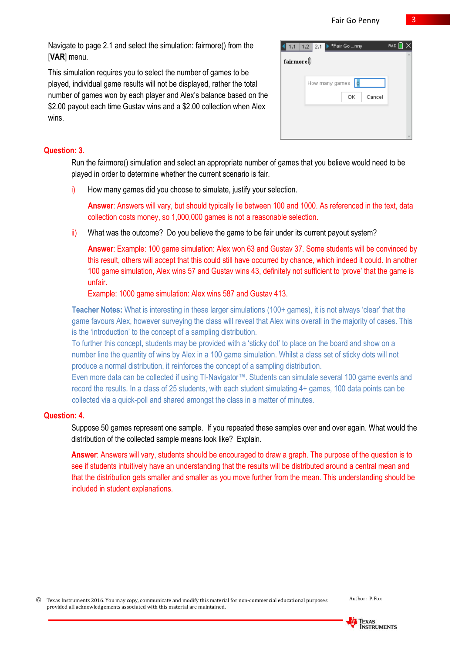Navigate to page 2.1 and select the simulation: fairmore() from the [**VAR**] menu.

This simulation requires you to select the number of games to be played, individual game results will not be displayed, rather the total number of games won by each player and Alex's balance based on the \$2.00 payout each time Gustay wins and a \$2.00 collection when Alex wins.

|                       | 1.1 1.2 2.1 ▶ *Fair Go  nny | RAD <sup>[</sup> |  |
|-----------------------|-----------------------------|------------------|--|
| $\mathbf{fairmore} @$ |                             |                  |  |
|                       | How many games 0            |                  |  |
|                       | OK<br>Cancel                |                  |  |
|                       |                             |                  |  |
|                       |                             |                  |  |

## **Question: 3.**

Run the fairmore() simulation and select an appropriate number of games that you believe would need to be played in order to determine whether the current scenario is fair.

i) How many games did you choose to simulate, justify your selection.

**Answer**: Answers will vary, but should typically lie between 100 and 1000. As referenced in the text, data collection costs money, so 1,000,000 games is not a reasonable selection.

 $\overline{ii}$  What was the outcome? Do you believe the game to be fair under its current payout system?

**Answer**: Example: 100 game simulation: Alex won 63 and Gustav 37. Some students will be convinced by this result, others will accept that this could still have occurred by chance, which indeed it could. In another 100 game simulation, Alex wins 57 and Gustav wins 43, definitely not sufficient to 'prove' that the game is unfair.

Example: 1000 game simulation: Alex wins 587 and Gustav 413.

**Teacher Notes:** What is interesting in these larger simulations (100+ games), it is not always 'clear' that the game favours Alex, however surveying the class will reveal that Alex wins overall in the majority of cases. This is the 'introduction' to the concept of a sampling distribution.

To further this concept, students may be provided with a 'sticky dot' to place on the board and show on a number line the quantity of wins by Alex in a 100 game simulation. Whilst a class set of sticky dots will not produce a normal distribution, it reinforces the concept of a sampling distribution.

Even more data can be collected if using TI-Navigator™. Students can simulate several 100 game events and record the results. In a class of 25 students, with each student simulating 4+ games, 100 data points can be collected via a quick-poll and shared amongst the class in a matter of minutes.

#### **Question: 4.**

Suppose 50 games represent one sample. If you repeated these samples over and over again. What would the distribution of the collected sample means look like? Explain.

**Answer**: Answers will vary, students should be encouraged to draw a graph. The purpose of the question is to see if students intuitively have an understanding that the results will be distributed around a central mean and that the distribution gets smaller and smaller as you move further from the mean. This understanding should be included in student explanations.

 Texas Instruments 2016. You may copy, communicate and modify this material for non-commercial educational purposes provided all acknowledgements associated with this material are maintained.

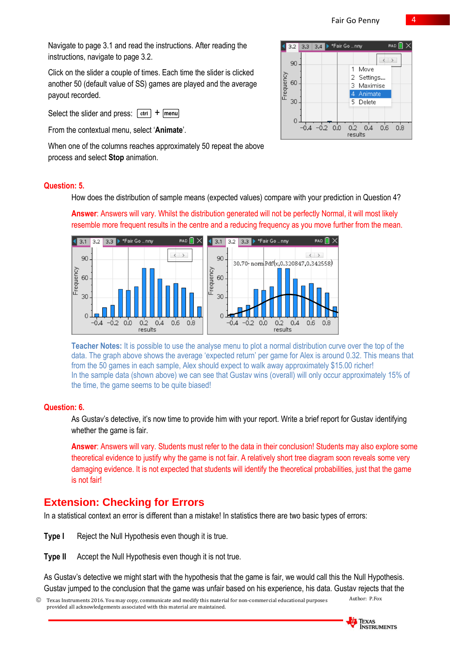Navigate to page 3.1 and read the instructions. After reading the instructions, navigate to page 3.2.

Click on the slider a couple of times. Each time the slider is clicked another 50 (default value of SS) games are played and the average payout recorded.

Select the slider and press:  $\lceil ctr \rceil + \lceil menu \rceil$ 

From the contextual menu, select '**Animate**'.

When one of the columns reaches approximately 50 repeat the above process and select **Stop** animation.

| 3.2                   | 3.3 3.4 > *Fair Go  nny |                                                       | RAD <sup>[</sup> |
|-----------------------|-------------------------|-------------------------------------------------------|------------------|
| 90<br>Frequency<br>60 |                         | Move<br>1<br>2 Settings<br>Maximise<br>3<br>4 Animate |                  |
| 30<br>Ω               | $-0.2$<br>0.0           | 5 Delete<br>0.2<br>0.4<br>results                     | 0.6<br>0.8       |

#### **Question: 5.**

How does the distribution of sample means (expected values) compare with your prediction in Question 4?

**Answer**: Answers will vary. Whilst the distribution generated will not be perfectly Normal, it will most likely resemble more frequent results in the centre and a reducing frequency as you move further from the mean.



**Teacher Notes:** It is possible to use the analyse menu to plot a normal distribution curve over the top of the data. The graph above shows the average 'expected return' per game for Alex is around 0.32. This means that from the 50 games in each sample, Alex should expect to walk away approximately \$15.00 richer! In the sample data (shown above) we can see that Gustav wins (overall) will only occur approximately 15% of the time, the game seems to be quite biased!

#### **Question: 6.**

As Gustav's detective, it's now time to provide him with your report. Write a brief report for Gustav identifying whether the game is fair.

**Answer**: Answers will vary. Students must refer to the data in their conclusion! Students may also explore some theoretical evidence to justify why the game is not fair. A relatively short tree diagram soon reveals some very damaging evidence. It is not expected that students will identify the theoretical probabilities, just that the game is not fair!

# **Extension: Checking for Errors**

In a statistical context an error is different than a mistake! In statistics there are two basic types of errors:

- **Type I** Reject the Null Hypothesis even though it is true.
- **Type II** Accept the Null Hypothesis even though it is not true.

As Gustav's detective we might start with the hypothesis that the game is fair, we would call this the Null Hypothesis. Gustav jumped to the conclusion that the game was unfair based on his experience, his data. Gustav rejects that the

 Texas Instruments 2016. You may copy, communicate and modify this material for non-commercial educational purposes provided all acknowledgements associated with this material are maintained.

Author: P.Fox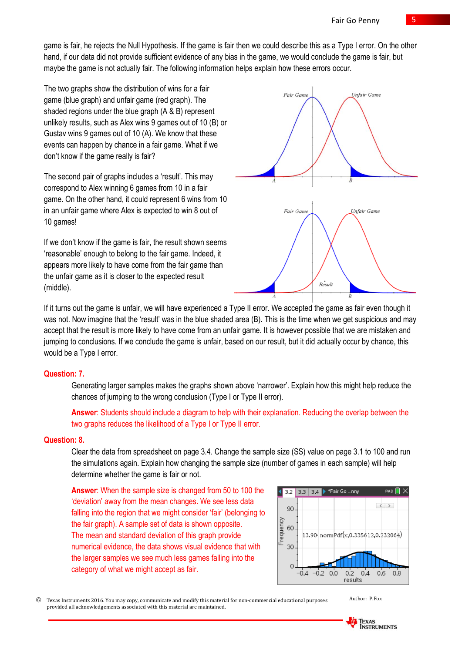game is fair, he rejects the Null Hypothesis. If the game is fair then we could describe this as a Type I error. On the other hand, if our data did not provide sufficient evidence of any bias in the game, we would conclude the game is fair, but maybe the game is not actually fair. The following information helps explain how these errors occur.

The two graphs show the distribution of wins for a fair game (blue graph) and unfair game (red graph). The shaded regions under the blue graph (A & B) represent unlikely results, such as Alex wins 9 games out of 10 (B) or Gustav wins 9 games out of 10 (A). We know that these events can happen by chance in a fair game. What if we don't know if the game really is fair?

The second pair of graphs includes a 'result'. This may correspond to Alex winning 6 games from 10 in a fair game. On the other hand, it could represent 6 wins from 10 in an unfair game where Alex is expected to win 8 out of 10 games!

If we don't know if the game is fair, the result shown seems 'reasonable' enough to belong to the fair game. Indeed, it appears more likely to have come from the fair game than the unfair game as it is closer to the expected result (middle).



If it turns out the game is unfair, we will have experienced a Type II error. We accepted the game as fair even though it was not. Now imagine that the 'result' was in the blue shaded area (B). This is the time when we get suspicious and may accept that the result is more likely to have come from an unfair game. It is however possible that we are mistaken and jumping to conclusions. If we conclude the game is unfair, based on our result, but it did actually occur by chance, this would be a Type I error.

#### **Question: 7.**

Generating larger samples makes the graphs shown above 'narrower'. Explain how this might help reduce the chances of jumping to the wrong conclusion (Type I or Type II error).

**Answer**: Students should include a diagram to help with their explanation. Reducing the overlap between the two graphs reduces the likelihood of a Type I or Type II error.

#### **Question: 8.**

Clear the data from spreadsheet on page 3.4. Change the sample size (SS) value on page 3.1 to 100 and run the simulations again. Explain how changing the sample size (number of games in each sample) will help determine whether the game is fair or not.

**Answer**: When the sample size is changed from 50 to 100 the 'deviation' away from the mean changes. We see less data falling into the region that we might consider 'fair' (belonging to the fair graph). A sample set of data is shown opposite. The mean and standard deviation of this graph provide numerical evidence, the data shows visual evidence that with the larger samples we see much less games falling into the category of what we might accept as fair.



 Texas Instruments 2016. You may copy, communicate and modify this material for non-commercial educational purposes provided all acknowledgements associated with this material are maintained.

Author: P.Fox